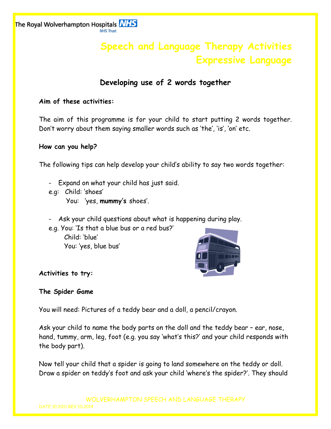The Royal Wolverhampton Hospitals **NHS NHS Trust** 

# **Speech and Language Therapy Activities Expressive Language**

# **Developing use of 2 words together**

## **Aim of these activities:**

The aim of this programme is for your child to start putting 2 words together. Don't worry about them saying smaller words such as 'the', 'is', 'on' etc.

### **How can you help?**

The following tips can help develop your child's ability to say two words together:

- Expand on what your child has just said.
- e.g: Child: 'shoes'

You: 'yes, **mummy's** shoes'.

Ask your child questions about what is happening during play.

e.g. You: 'Is that a blue bus or a red bus?' Child: 'blue' You: 'yes, blue bus'



# **Activities to try:**

# **The Spider Game**

You will need: Pictures of a teddy bear and a doll, a pencil/crayon.

Ask your child to name the body parts on the doll and the teddy bear – ear, nose, hand, tummy, arm, leg, foot (e.g. you say 'what's this?' and your child responds with the body part).

Now tell your child that a spider is going to land somewhere on the teddy or doll. Draw a spider on teddy's foot and ask your child 'where's the spider?'. They should

WOLVERHAMPTON SPEECH AND LANGUAGE THERAPY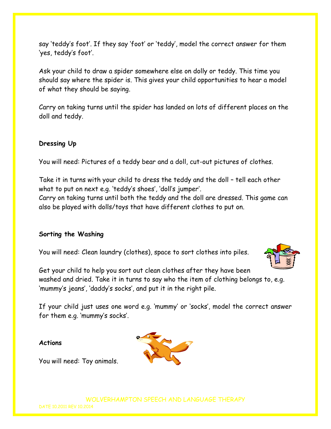say 'teddy's foot'. If they say 'foot' or 'teddy', model the correct answer for them 'yes, teddy's foot'.

Ask your child to draw a spider somewhere else on dolly or teddy. This time you should say where the spider is. This gives your child opportunities to hear a model of what they should be saying.

Carry on taking turns until the spider has landed on lots of different places on the doll and teddy.

#### **Dressing Up**

You will need: Pictures of a teddy bear and a doll, cut-out pictures of clothes.

Take it in turns with your child to dress the teddy and the doll – tell each other what to put on next e.g. 'teddy's shoes', 'doll's jumper'.

Carry on taking turns until both the teddy and the doll are dressed. This game can also be played with dolls/toys that have different clothes to put on.

#### **Sorting the Washing**

You will need: Clean laundry (clothes), space to sort clothes into piles.



Get your child to help you sort out clean clothes after they have been washed and dried. Take it in turns to say who the item of clothing belongs to, e.g. 'mummy's jeans', 'daddy's socks', and put it in the right pile.

If your child just uses one word e.g. 'mummy' or 'socks', model the correct answer for them e.g. 'mummy's socks'.

#### **Actions**

You will need: Toy animals.